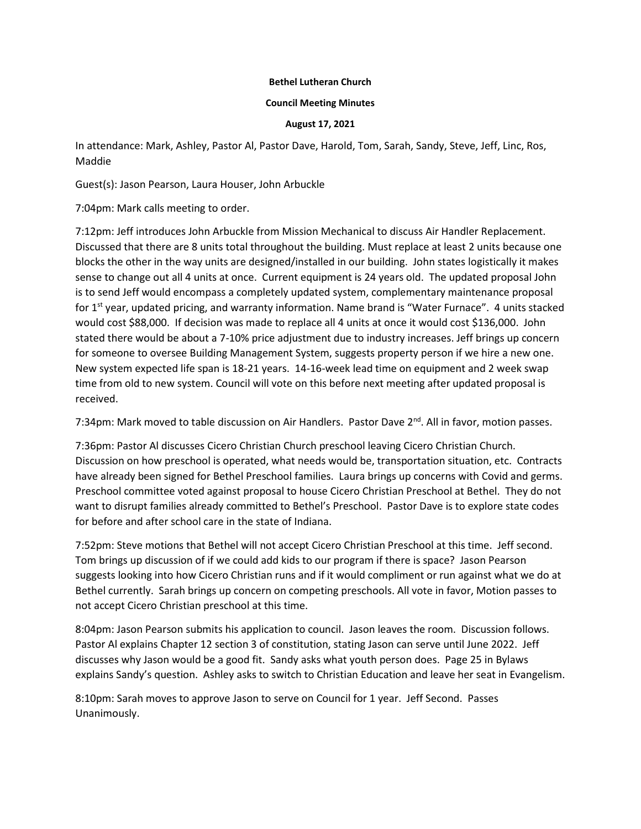## **Bethel Lutheran Church**

## **Council Meeting Minutes**

## **August 17, 2021**

In attendance: Mark, Ashley, Pastor Al, Pastor Dave, Harold, Tom, Sarah, Sandy, Steve, Jeff, Linc, Ros, Maddie

Guest(s): Jason Pearson, Laura Houser, John Arbuckle

7:04pm: Mark calls meeting to order.

7:12pm: Jeff introduces John Arbuckle from Mission Mechanical to discuss Air Handler Replacement. Discussed that there are 8 units total throughout the building. Must replace at least 2 units because one blocks the other in the way units are designed/installed in our building. John states logistically it makes sense to change out all 4 units at once. Current equipment is 24 years old. The updated proposal John is to send Jeff would encompass a completely updated system, complementary maintenance proposal for 1<sup>st</sup> year, updated pricing, and warranty information. Name brand is "Water Furnace". 4 units stacked would cost \$88,000. If decision was made to replace all 4 units at once it would cost \$136,000. John stated there would be about a 7-10% price adjustment due to industry increases. Jeff brings up concern for someone to oversee Building Management System, suggests property person if we hire a new one. New system expected life span is 18-21 years. 14-16-week lead time on equipment and 2 week swap time from old to new system. Council will vote on this before next meeting after updated proposal is received.

7:34pm: Mark moved to table discussion on Air Handlers. Pastor Dave 2<sup>nd</sup>. All in favor, motion passes.

7:36pm: Pastor Al discusses Cicero Christian Church preschool leaving Cicero Christian Church. Discussion on how preschool is operated, what needs would be, transportation situation, etc. Contracts have already been signed for Bethel Preschool families. Laura brings up concerns with Covid and germs. Preschool committee voted against proposal to house Cicero Christian Preschool at Bethel. They do not want to disrupt families already committed to Bethel's Preschool. Pastor Dave is to explore state codes for before and after school care in the state of Indiana.

7:52pm: Steve motions that Bethel will not accept Cicero Christian Preschool at this time. Jeff second. Tom brings up discussion of if we could add kids to our program if there is space? Jason Pearson suggests looking into how Cicero Christian runs and if it would compliment or run against what we do at Bethel currently. Sarah brings up concern on competing preschools. All vote in favor, Motion passes to not accept Cicero Christian preschool at this time.

8:04pm: Jason Pearson submits his application to council. Jason leaves the room. Discussion follows. Pastor Al explains Chapter 12 section 3 of constitution, stating Jason can serve until June 2022. Jeff discusses why Jason would be a good fit. Sandy asks what youth person does. Page 25 in Bylaws explains Sandy's question. Ashley asks to switch to Christian Education and leave her seat in Evangelism.

8:10pm: Sarah moves to approve Jason to serve on Council for 1 year. Jeff Second. Passes Unanimously.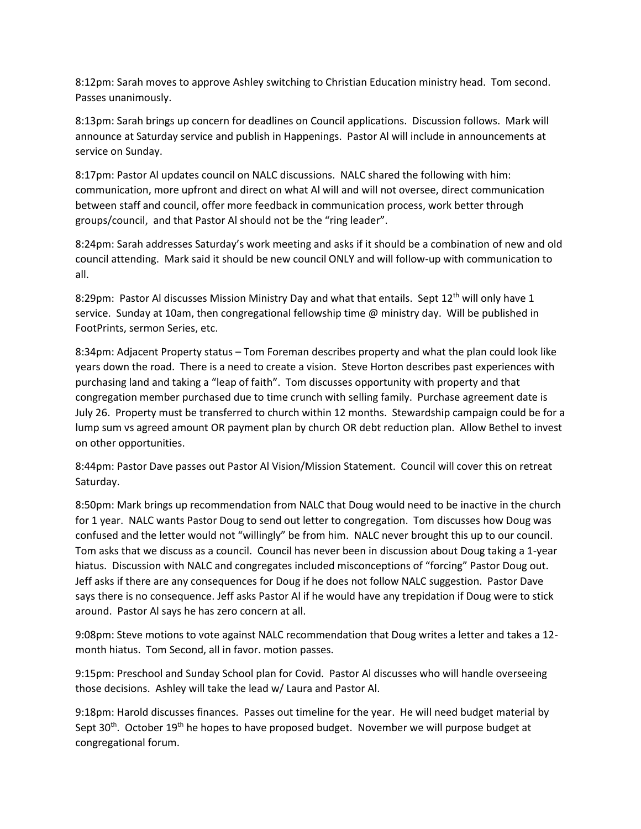8:12pm: Sarah moves to approve Ashley switching to Christian Education ministry head. Tom second. Passes unanimously.

8:13pm: Sarah brings up concern for deadlines on Council applications. Discussion follows. Mark will announce at Saturday service and publish in Happenings. Pastor Al will include in announcements at service on Sunday.

8:17pm: Pastor Al updates council on NALC discussions. NALC shared the following with him: communication, more upfront and direct on what Al will and will not oversee, direct communication between staff and council, offer more feedback in communication process, work better through groups/council, and that Pastor Al should not be the "ring leader".

8:24pm: Sarah addresses Saturday's work meeting and asks if it should be a combination of new and old council attending. Mark said it should be new council ONLY and will follow-up with communication to all.

8:29pm: Pastor Al discusses Mission Ministry Day and what that entails. Sept 12<sup>th</sup> will only have 1 service. Sunday at 10am, then congregational fellowship time @ ministry day. Will be published in FootPrints, sermon Series, etc.

8:34pm: Adjacent Property status – Tom Foreman describes property and what the plan could look like years down the road. There is a need to create a vision. Steve Horton describes past experiences with purchasing land and taking a "leap of faith". Tom discusses opportunity with property and that congregation member purchased due to time crunch with selling family. Purchase agreement date is July 26. Property must be transferred to church within 12 months. Stewardship campaign could be for a lump sum vs agreed amount OR payment plan by church OR debt reduction plan. Allow Bethel to invest on other opportunities.

8:44pm: Pastor Dave passes out Pastor Al Vision/Mission Statement. Council will cover this on retreat Saturday.

8:50pm: Mark brings up recommendation from NALC that Doug would need to be inactive in the church for 1 year. NALC wants Pastor Doug to send out letter to congregation. Tom discusses how Doug was confused and the letter would not "willingly" be from him. NALC never brought this up to our council. Tom asks that we discuss as a council. Council has never been in discussion about Doug taking a 1-year hiatus. Discussion with NALC and congregates included misconceptions of "forcing" Pastor Doug out. Jeff asks if there are any consequences for Doug if he does not follow NALC suggestion. Pastor Dave says there is no consequence. Jeff asks Pastor Al if he would have any trepidation if Doug were to stick around. Pastor Al says he has zero concern at all.

9:08pm: Steve motions to vote against NALC recommendation that Doug writes a letter and takes a 12 month hiatus. Tom Second, all in favor. motion passes.

9:15pm: Preschool and Sunday School plan for Covid. Pastor Al discusses who will handle overseeing those decisions. Ashley will take the lead w/ Laura and Pastor Al.

9:18pm: Harold discusses finances. Passes out timeline for the year. He will need budget material by Sept  $30<sup>th</sup>$ . October  $19<sup>th</sup>$  he hopes to have proposed budget. November we will purpose budget at congregational forum.